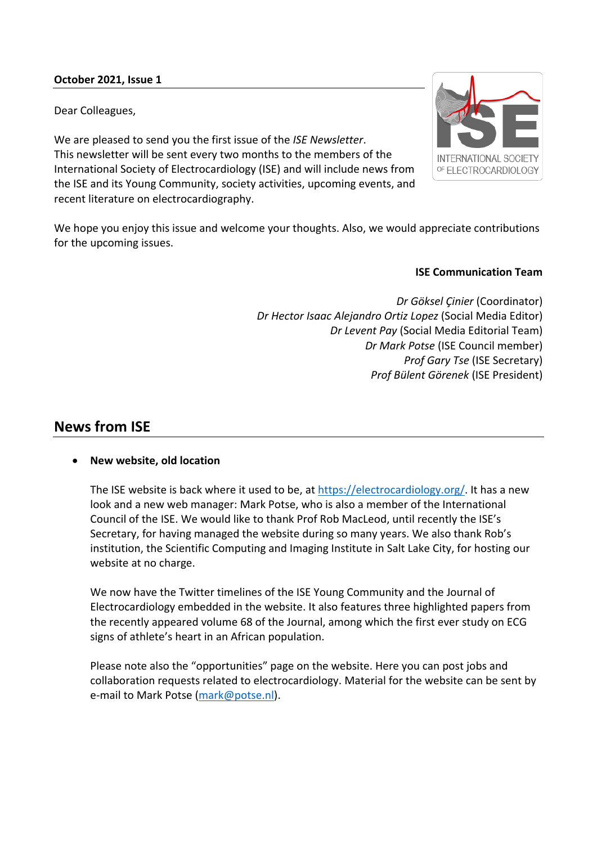## **October 2021, Issue 1**

Dear Colleagues,

We are pleased to send you the first issue of the *ISE Newsletter*. This newsletter will be sent every two months to the members of the International Society of Electrocardiology (ISE) and will include news from the ISE and its Young Community, society activities, upcoming events, and recent literature on electrocardiography.



We hope you enjoy this issue and welcome your thoughts. Also, we would appreciate contributions for the upcoming issues.

### **ISE Communication Team**

*Dr Göksel Çinier* (Coordinator) *Dr Hector Isaac Alejandro Ortiz Lopez* (Social Media Editor) *Dr Levent Pay* (Social Media Editorial Team) *Dr Mark Potse* (ISE Council member) *Prof Gary Tse* (ISE Secretary) *Prof Bülent Görenek* (ISE President)

# **News from ISE**

### • **New website, old location**

The ISE website is back where it used to be, at [https://electrocardiology.org/.](https://electrocardiology.org/) It has a new look and a new web manager: Mark Potse, who is also a member of the International Council of the ISE. We would like to thank Prof Rob MacLeod, until recently the ISE's Secretary, for having managed the website during so many years. We also thank Rob's institution, the Scientific Computing and Imaging Institute in Salt Lake City, for hosting our website at no charge.

We now have the Twitter timelines of the ISE Young Community and the Journal of Electrocardiology embedded in the website. It also features three highlighted papers from the recently appeared volume 68 of the Journal, among which the first ever study on ECG signs of athlete's heart in an African population.

Please note also the "opportunities" page on the website. Here you can post jobs and collaboration requests related to electrocardiology. Material for the website can be sent by e-mail to Mark Potse [\(mark@potse.nl\)](mailto:mark@potse.nl).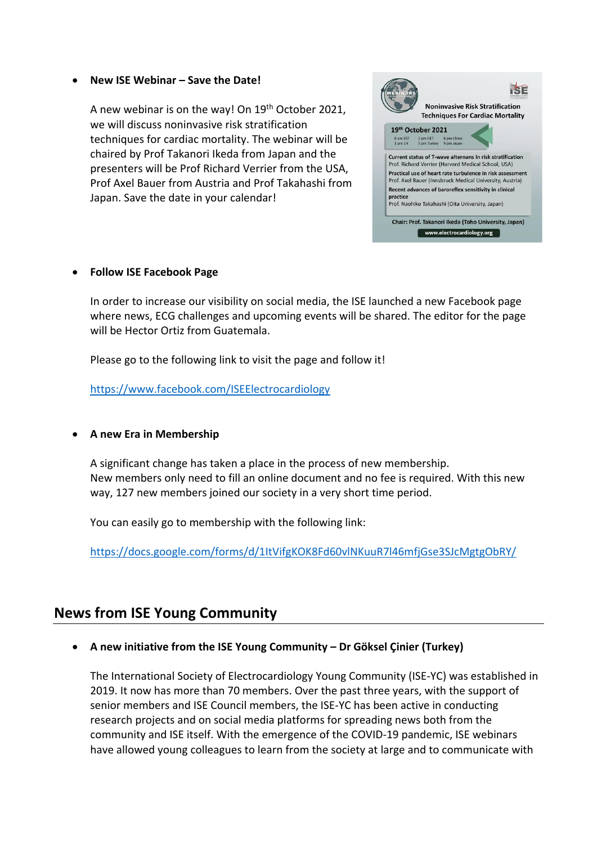#### • **New ISE Webinar – Save the Date!**

A new webinar is on the way! On 19th October 2021, we will discuss noninvasive risk stratification techniques for cardiac mortality. The webinar will be chaired by Prof Takanori Ikeda from Japan and the presenters will be Prof Richard Verrier from the USA, Prof Axel Bauer from Austria and Prof Takahashi from Japan. Save the date in your calendar!



#### • **Follow ISE Facebook Page**

In order to increase our visibility on social media, the ISE launched a new Facebook page where news, ECG challenges and upcoming events will be shared. The editor for the page will be Hector Ortiz from Guatemala.

Please go to the following link to visit the page and follow it!

<https://www.facebook.com/ISEElectrocardiology>

# • **A new Era in Membership**

A significant change has taken a place in the process of new membership. New members only need to fill an online document and no fee is required. With this new way, 127 new members joined our society in a very short time period.

You can easily go to membership with the following link:

<https://docs.google.com/forms/d/1ItVifgKOK8Fd60vlNKuuR7l46mfjGse3SJcMgtgObRY/>

# **News from ISE Young Community**

# • **A new initiative from the ISE Young Community – Dr Göksel Çinier (Turkey)**

The International Society of Electrocardiology Young Community (ISE-YC) was established in 2019. It now has more than 70 members. Over the past three years, with the support of senior members and ISE Council members, the ISE-YC has been active in conducting research projects and on social media platforms for spreading news both from the community and ISE itself. With the emergence of the COVID-19 pandemic, ISE webinars have allowed young colleagues to learn from the society at large and to communicate with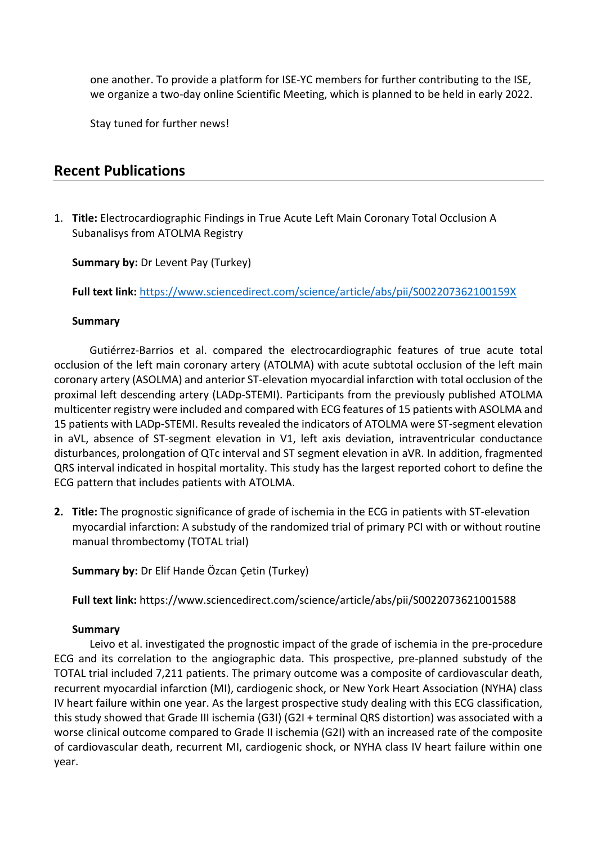one another. To provide a platform for ISE-YC members for further contributing to the ISE, we organize a two-day online Scientific Meeting, which is planned to be held in early 2022.

Stay tuned for further news!

# **Recent Publications**

1. **Title:** Electrocardiographic Findings in True Acute Left Main Coronary Total Occlusion A Subanalisys from ATOLMA Registry

# **Summary by: Dr Levent Pay (Turkey)**

**Full text link:** <https://www.sciencedirect.com/science/article/abs/pii/S002207362100159X>

### **Summary**

Gutiérrez-Barrios et al. compared the electrocardiographic features of true acute total occlusion of the left main coronary artery (ATOLMA) with acute subtotal occlusion of the left main coronary artery (ASOLMA) and anterior ST-elevation myocardial infarction with total occlusion of the proximal left descending artery (LADp-STEMI). Participants from the previously published ATOLMA multicenter registry were included and compared with ECG features of 15 patients with ASOLMA and 15 patients with LADp-STEMI. Results revealed the indicators of ATOLMA were ST-segment elevation in aVL, absence of ST-segment elevation in V1, left axis deviation, intraventricular conductance disturbances, prolongation of QTc interval and ST segment elevation in aVR. In addition, fragmented QRS interval indicated in hospital mortality. This study has the largest reported cohort to define the ECG pattern that includes patients with ATOLMA.

**2. Title:** The prognostic significance of grade of ischemia in the ECG in patients with ST-elevation myocardial infarction: A substudy of the randomized trial of primary PCI with or without routine manual thrombectomy (TOTAL trial)

**Summary by:** Dr Elif Hande Özcan Çetin (Turkey)

**Full text link:** https://www.sciencedirect.com/science/article/abs/pii/S0022073621001588

### **Summary**

Leivo et al. investigated the prognostic impact of the grade of ischemia in the pre-procedure ECG and its correlation to the angiographic data. This prospective, pre-planned substudy of the TOTAL trial included 7,211 patients. The primary outcome was a composite of cardiovascular death, recurrent myocardial infarction (MI), cardiogenic shock, or New York Heart Association (NYHA) class IV heart failure within one year. As the largest prospective study dealing with this ECG classification, this study showed that Grade III ischemia (G3I) (G2I + terminal QRS distortion) was associated with a worse clinical outcome compared to Grade II ischemia (G2I) with an increased rate of the composite of cardiovascular death, recurrent MI, cardiogenic shock, or NYHA class IV heart failure within one year.